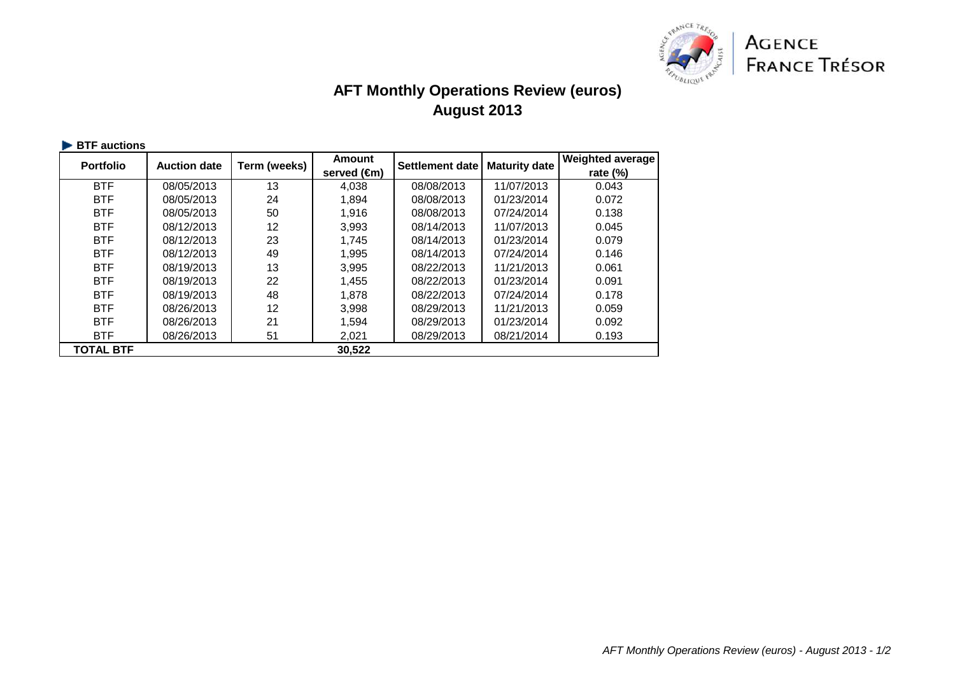

## **AFT Monthly Operations Review (euros)August 2013**

| <b>Portfolio</b> | <b>Auction date</b> | Term (weeks) | <b>Amount</b><br>served (€m) | Settlement date | <b>Maturity date</b> | <b>Weighted average</b><br>rate $(\%)$ |
|------------------|---------------------|--------------|------------------------------|-----------------|----------------------|----------------------------------------|
|                  |                     |              |                              |                 |                      |                                        |
| <b>BTF</b>       | 08/05/2013          | 13           | 4,038                        | 08/08/2013      | 11/07/2013           | 0.043                                  |
| <b>BTF</b>       | 08/05/2013          | 24           | 1,894                        | 08/08/2013      | 01/23/2014           | 0.072                                  |
| <b>BTF</b>       | 08/05/2013          | 50           | 1.916                        | 08/08/2013      | 07/24/2014           | 0.138                                  |
| <b>BTF</b>       | 08/12/2013          | 12           | 3,993                        | 08/14/2013      | 11/07/2013           | 0.045                                  |
| <b>BTF</b>       | 08/12/2013          | 23           | 1,745                        | 08/14/2013      | 01/23/2014           | 0.079                                  |
| <b>BTF</b>       | 08/12/2013          | 49           | 1,995                        | 08/14/2013      | 07/24/2014           | 0.146                                  |
| <b>BTF</b>       | 08/19/2013          | 13           | 3,995                        | 08/22/2013      | 11/21/2013           | 0.061                                  |
| <b>BTF</b>       | 08/19/2013          | 22           | 1,455                        | 08/22/2013      | 01/23/2014           | 0.091                                  |
| <b>BTF</b>       | 08/19/2013          | 48           | 1.878                        | 08/22/2013      | 07/24/2014           | 0.178                                  |
| <b>BTF</b>       | 08/26/2013          | 12           | 3,998                        | 08/29/2013      | 11/21/2013           | 0.059                                  |
| <b>BTF</b>       | 08/26/2013          | 21           | 1,594                        | 08/29/2013      | 01/23/2014           | 0.092                                  |
| <b>BTF</b>       | 08/26/2013          | 51           | 2,021                        | 08/29/2013      | 08/21/2014           | 0.193                                  |
| <b>TOTAL BTF</b> |                     |              | 30,522                       |                 |                      |                                        |